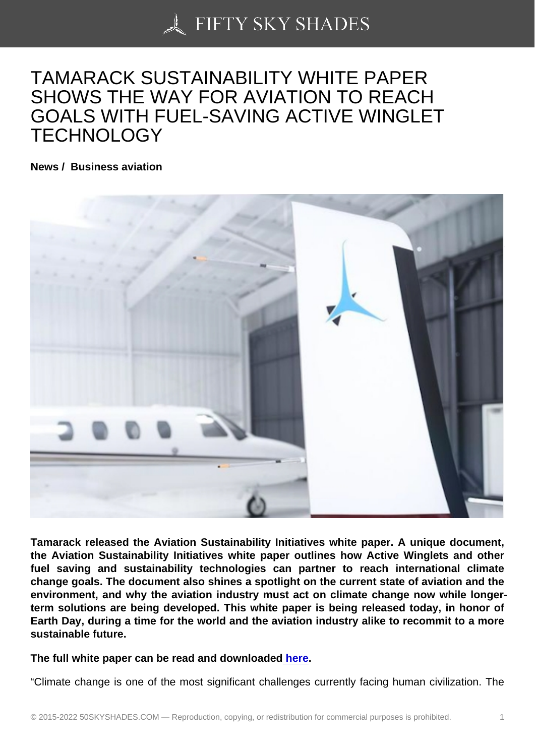## [TAMARACK SUSTAIN](https://50skyshades.com)ABILITY WHITE PAPER SHOWS THE WAY FOR AVIATION TO REACH GOALS WITH FUEL-SAVING ACTIVE WINGLET TECHNOLOGY

News / Business aviation

Tamarack released the Aviation Sustainability Initiatives white paper. A unique document, the Aviation Sustainability Initiatives white paper outlines how Active Winglets and other fuel saving and sustainability technologies can partner to reach international climate change goals. The document also shines a spotlight on the current state of aviation and the environment, and why the aviation industry must act on climate change now while longerterm solutions are being developed. This white paper is being released today, in honor of Earth Day, during a time for the world and the aviation industry alike to recommit to a more sustainable future.

The full white paper can be read and downloaded here.

"Climate change is one of the most significant challenges currently facing human civilization. The